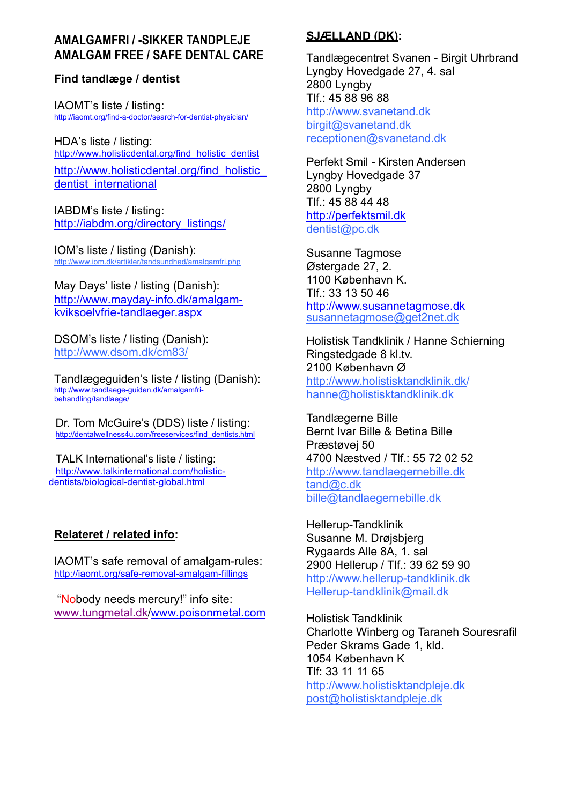# **AMALGAMFRI / -SIKKER TANDPLEJE AMALGAM FREE / SAFE DENTAL CARE**

# **Find tandlæge / dentist**

IAOMT's liste / listing: http://iaomt.org/find-a-doctor/search-for-dentist-physician/

HDA's liste / listing: http://www.holisticdental.org/find\_holistic\_dentist

http://www.holisticdental.org/find\_holistic dentist international

IABDM's liste / listing: http://iabdm.org/directory\_listings/

IOM's liste / listing (Danish): http://www.iom.dk/artikler/tandsundhed/amalgamfri.php

May Days' liste / listing (Danish): http://www.mayday-info.dk/amalgamkviksoelvfrie-tandlaeger.aspx

DSOM's liste / listing (Danish): http://www.dsom.dk/cm83/

Tandlægeguiden's liste / listing (Danish): http://www.tandlaege-guiden.dk/amalgamfribehandling/tandlaege/

Dr. Tom McGuire's (DDS) liste / listing: http://dentalwellness4u.com/freeservices/find\_dentists.html

TALK International's liste / listing: http://www.talkinternational.com/holisticdentists/biological-dentist-global.html

# **Relateret / related info:**

IAOMT's safe removal of amalgam-rules: http://iaomt.org/safe-removal-amalgam-fillings

"Nobody needs mercury!" info site: www.tungmetal.dk/www.poisonmetal.com

# **SJÆLLAND (DK):**

Tandlægecentret Svanen - Birgit Uhrbrand Lyngby Hovedgade 27, 4. sal 2800 Lyngby Tlf.: 45 88 96 88 http://www.svanetand.dk birgit@svanetand.dk receptionen@svanetand.dk

Perfekt Smil - Kirsten Andersen Lyngby Hovedgade 37 2800 Lyngby Tlf.: 45 88 44 48 http://perfektsmil.dk dentist@pc.dk

Susanne Tagmose Østergade 27, 2. 1100 København K. Tlf.: 33 13 50 46 http://www.susannetagmose.dk susannetagmose@get2net.dk

Holistisk Tandklinik / Hanne Schierning Ringstedgade 8 kl.tv. 2100 København Ø http://www.holistisktandklinik.dk/ hanne@holistisktandklinik.dk

Tandlægerne Bille Bernt Ivar Bille & Betina Bille Præstøvej 50 4700 Næstved / Tlf.: 55 72 02 52 http://www.tandlaegernebille.dk tand@c.dk bille@tandlaegernebille.dk

Hellerup-Tandklinik Susanne M. Drøjsbjerg Rygaards Alle 8A, 1. sal 2900 Hellerup / Tlf.: 39 62 59 90 http://www.hellerup-tandklinik.dk Hellerup-tandklinik@mail.dk

Holistisk Tandklinik Charlotte Winberg og Taraneh Souresrafil Peder Skrams Gade 1, kld. 1054 København K Tlf: 33 11 11 65 http://www.holistisktandpleje.dk post@holistisktandpleje.dk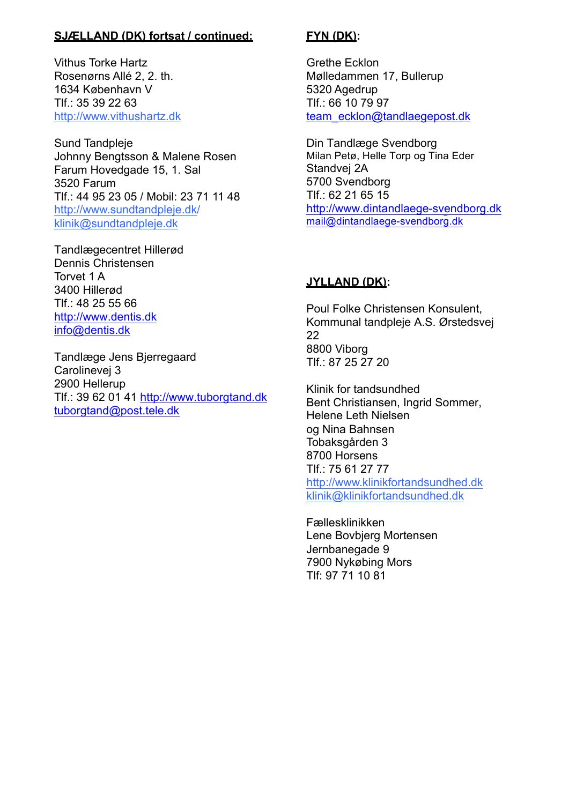# **SJÆLLAND (DK) fortsat / continued:**

Vithus Torke Hartz Rosenørns Allé 2, 2. th. 1634 København V Tlf.: 35 39 22 63 http://www.vithushartz.dk

Sund Tandpleje Johnny Bengtsson & Malene Rosen Farum Hovedgade 15, 1. Sal 3520 Farum Tlf.: 44 95 23 05 / Mobil: 23 71 11 48 http://www.sundtandpleje.dk/ klinik@sundtandpleje.dk

Tandlægecentret Hillerød Dennis Christensen Torvet 1 A 3400 Hillerød Tlf.: 48 25 55 66 http://www.dentis.dk info@dentis.dk

Tandlæge Jens Bjerregaard Carolinevej 3 2900 Hellerup Tlf.: 39 62 01 41 http://www.tuborgtand.dk tuborgtand@post.tele.dk

# **FYN (DK):**

Grethe Ecklon Mølledammen 17, Bullerup 5320 Agedrup Tlf.: 66 10 79 97 team\_ecklon@tandlaegepost.dk

Din Tandlæge Svendborg Milan Petø, Helle Torp og Tina Eder Standvej 2A 5700 Svendborg Tlf.: 62 21 65 15 http://www.dintandlaege-svendborg.dk mail@dintandlaege-svendborg.dk

# **JYLLAND (DK):**

Poul Folke Christensen Konsulent, Kommunal tandpleje A.S. Ørstedsvej 22 8800 Viborg  $T$ lf  $\cdot$  87 25 27 20

Klinik for tandsundhed Bent Christiansen, Ingrid Sommer, Helene Leth Nielsen og Nina Bahnsen Tobaksgården 3 8700 Horsens Tlf.: 75 61 27 77 http://www.klinikfortandsundhed.dk klinik@klinikfortandsundhed.dk

Fællesklinikken Lene Bovbjerg Mortensen Jernbanegade 9 7900 Nykøbing Mors Tlf: 97 71 10 81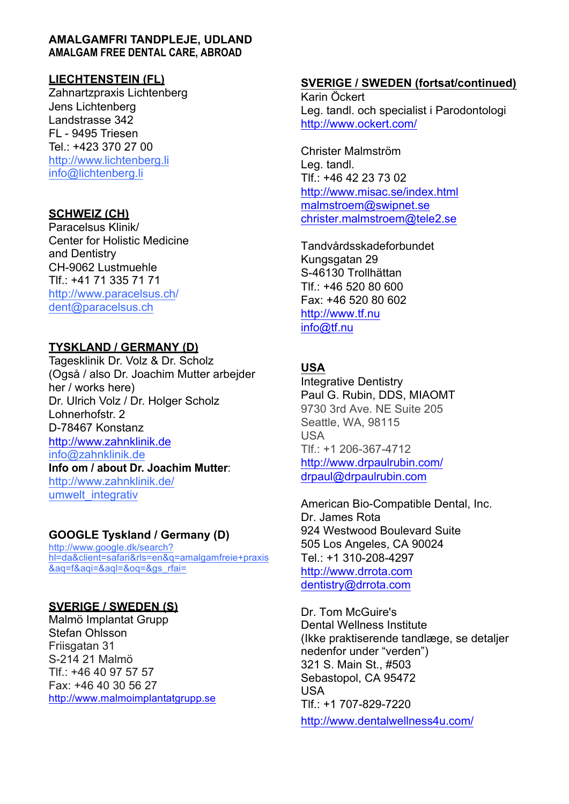## **AMALGAMFRI TANDPLEJE, UDLAND AMALGAM FREE DENTAL CARE, ABROAD**

# **LIECHTENSTEIN (FL)**

Zahnartzpraxis Lichtenberg Jens Lichtenberg Landstrasse 342 FL - 9495 Triesen Tel.: +423 370 27 00 http://www.lichtenberg.li info@lichtenberg.li

## **SCHWEIZ (CH)**

Paracelsus Klinik/ Center for Holistic Medicine and Dentistry CH-9062 Lustmuehle Tlf.: +41 71 335 71 71 http://www.paracelsus.ch/ dent@paracelsus.ch

# **TYSKLAND / GERMANY (D)**

Tagesklinik Dr. Volz & Dr. Scholz (Også / also Dr. Joachim Mutter arbejder her / works here) Dr. Ulrich Volz / Dr. Holger Scholz Lohnerhofstr. 2 D-78467 Konstanz http://www.zahnklinik.de info@zahnklinik.de **Info om / about Dr. Joachim Mutter**: http://www.zahnklinik.de/ umwelt integrativ

## **GOOGLE Tyskland / Germany (D)**

http://www.google.dk/search? hl=da&client=safari&rls=en&q=amalgamfreie+praxis &aq=f&aqi=&aql=&oq=&gs\_rfai=

# **SVERIGE / SWEDEN (S)**

Malmö Implantat Grupp Stefan Ohlsson Friisgatan 31 S-214 21 Malmö Tlf.: +46 40 97 57 57 Fax: +46 40 30 56 27 http://www.malmoimplantatgrupp.se

## **SVERIGE / SWEDEN (fortsat/continued)**

Karin Öckert Leg. tandl. och specialist i Parodontologi http://www.ockert.com/

Christer Malmström Leg. tandl. Tlf.: +46 42 23 73 02 http://www.misac.se/index.html malmstroem@swipnet.se christer.malmstroem@tele2.se

Tandvårdsskadeforbundet Kungsgatan 29 S-46130 Trollhättan Tlf.: +46 520 80 600 Fax: +46 520 80 602 http://www.tf.nu info@tf.nu

# **USA**

Integrative Dentistry Paul G. Rubin, DDS, MIAOMT 9730 3rd Ave. NE Suite 205 Seattle, WA, 98115 **USA** Tlf.: +1 206-367-4712 http://www.drpaulrubin.com/ drpaul@drpaulrubin.com

American Bio-Compatible Dental, Inc. Dr. James Rota 924 Westwood Boulevard Suite 505 Los Angeles, CA 90024 Tel.: +1 310-208-4297 http://www.drrota.com dentistry@drrota.com

Dr. Tom McGuire's Dental Wellness Institute (Ikke praktiserende tandlæge, se detaljer nedenfor under "verden") 321 S. Main St., #503 Sebastopol, CA 95472 USA Tlf.: +1 707-829-7220

http://www.dentalwellness4u.com/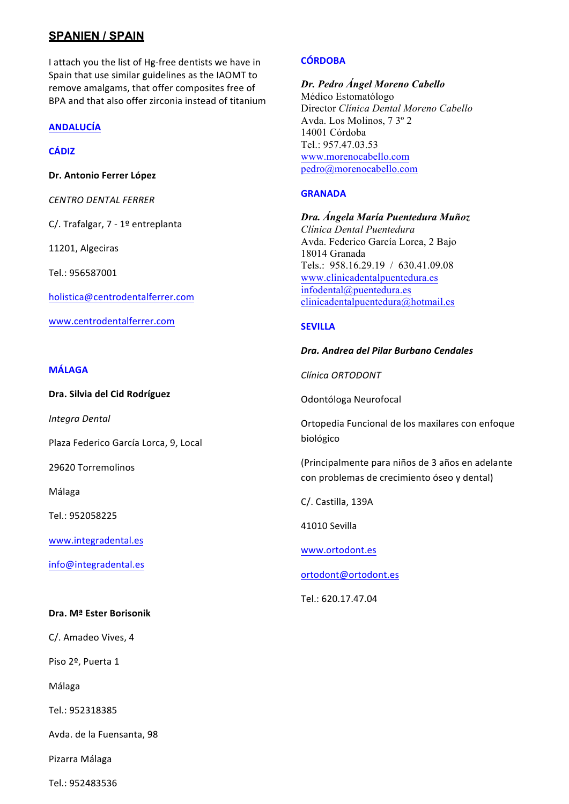## **SPANIEN / SPAIN**

I attach you the list of Hg-free dentists we have in Spain that use similar guidelines as the IAOMT to remove amalgams, that offer composites free of BPA and that also offer zirconia instead of titanium

## **ANDALUCÍA**

### **CÁDIZ**

**Dr. Antonio Ferrer López**

*CENTRO DENTAL FERRER*

C/. Trafalgar, 7 - 1º entreplanta

11201, Algeciras

Tel.: 956587001

holistica@centrodentalferrer.com

www.centrodentalferrer.com

#### **MÁLAGA**

**Dra. Silvia del Cid Rodríguez** 

*Integra Dental*

Plaza Federico García Lorca, 9, Local

29620 Torremolinos

Málaga

Tel.: 952058225

www.integradental.es

info@integradental.es

#### **Dra. Mª Ester Borisonik**

C/. Amadeo Vives, 4

Piso 2º, Puerta 1

Málaga

Tel.: 952318385

Avda. de la Fuensanta, 98

Pizarra Málaga

Tel.: 952483536

#### **CÓRDOBA**

*Dr. Pedro Ángel Moreno Cabello* Médico Estomatólogo Director *Clínica Dental Moreno Cabello* Avda. Los Molinos, 7 3º 2 14001 Córdoba Tel.: 957.47.03.53 www.morenocabello.com pedro@morenocabello.com

#### **GRANADA**

*Dra. Ángela María Puentedura Muñoz Clínica Dental Puentedura* Avda. Federico García Lorca, 2 Bajo 18014 Granada Tels.: 958.16.29.19 / 630.41.09.08 www.clinicadentalpuentedura.es infodental@puentedura.es clinicadentalpuentedura@hotmail.es

#### **SEVILLA**

#### *Dra. Andrea del Pilar Burbano Cendales*

*Clínica ORTODONT*

Odontóloga Neurofocal

Ortopedia Funcional de los maxilares con enfoque biológico

(Principalmente para niños de 3 años en adelante con problemas de crecimiento óseo y dental)

C/. Castilla, 139A

41010 Sevilla

www.ortodont.es

ortodont@ortodont.es

Tel.: 620.17.47.04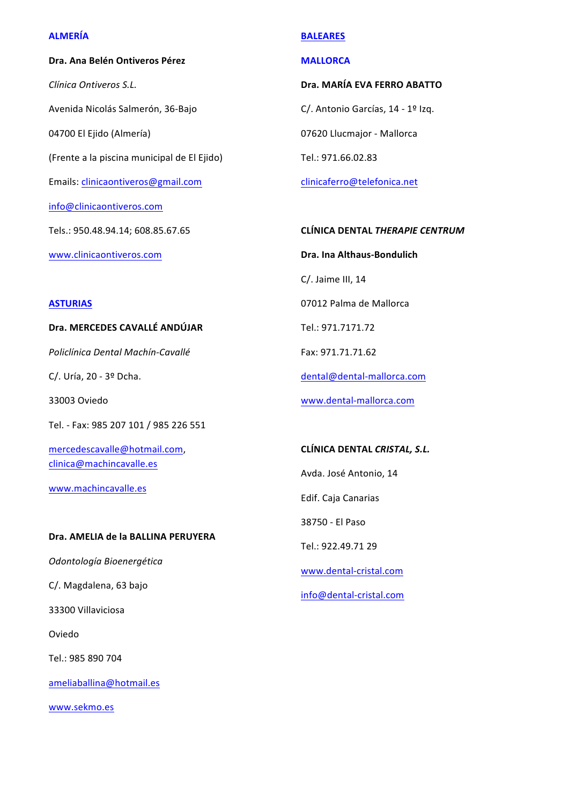### **ALMERÍA**

# **Dra. Ana Belén Ontiveros Pérez** *Clínica Ontiveros S.L.* Avenida Nicolás Salmerón, 36-Bajo 04700 El Ejido (Almería) (Frente a la piscina municipal de El Ejido) Emails: clinicaontiveros@gmail.com info@clinicaontiveros.com Tels.: 950.48.94.14; 608.85.67.65

www.clinicaontiveros.com

# **BALEARES**

### **MALLORCA**

## **Dra. MARÍA EVA FERRO ABATTO**

C/. Antonio Garcías, 14 - 1º Izq.

07620 Llucmajor - Mallorca

Tel.: 971.66.02.83

clinicaferro@telefonica.net

**CLÍNICA DENTAL** *THERAPIE CENTRUM*

**Dra. Ina Althaus-Bondulich**

C/. Jaime III, 14

07012 Palma de Mallorca 

Tel.: 971.7171.72 

Fax: 971.71.71.62 

dental@dental-mallorca.com

www.dental-mallorca.com

**CLÍNICA DENTAL** *CRISTAL, S.L.*

Avda. José Antonio, 14

Edif. Caja Canarias

38750 - El Paso 

Tel.: 922.49.71 29

www.dental-cristal.com

info@dental-cristal.com

## **ASTURIAS**

## **Dra. MERCEDES CAVALLÉ ANDÚJAR**

*Policlínica Dental Machín-Cavallé*

C/. Uría, 20 - 3º Dcha.

33003 Oviedo

Tel. - Fax: 985 207 101 / 985 226 551

mercedescavalle@hotmail.com, clinica@machincavalle.es

www.machincavalle.es

## Dra. **AMELIA de la BALLINA PERUYERA**

*Odontología Bioenergética*

C/. Magdalena, 63 bajo

33300 Villaviciosa

Oviedo

Tel.: 985 890 704

ameliaballina@hotmail.es

www.sekmo.es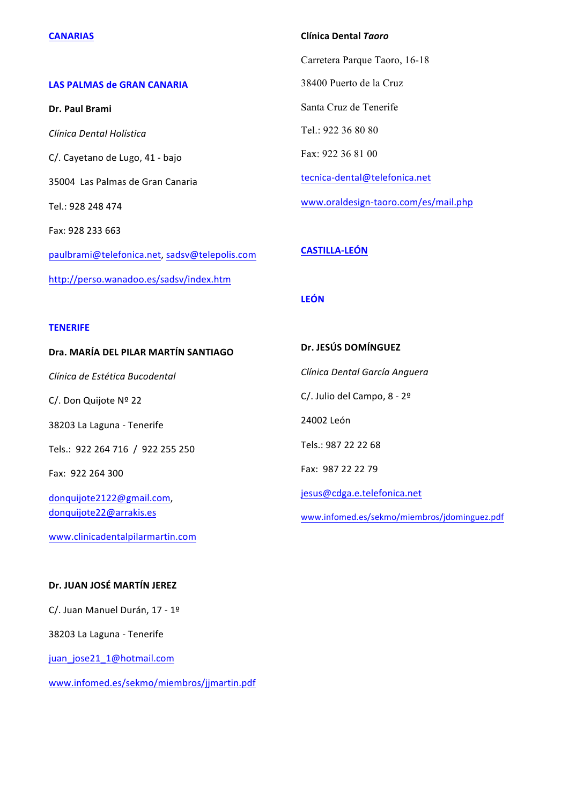#### **CANARIAS**

### **LAS PALMAS de GRAN CANARIA**

**Dr. Paul Brami** *Clínica Dental Holística* C/. Cayetano de Lugo, 41 - bajo 35004 Las Palmas de Gran Canaria Tel.: 928 248 474 Fax: 928 233 663 paulbrami@telefonica.net, sadsv@telepolis.com http://perso.wanadoo.es/sadsv/index.htm

#### **Clínica Dental** *Taoro*

Carretera Parque Taoro, 16-18 38400 Puerto de la Cruz Santa Cruz de Tenerife Tel.: 922 36 80 80 Fax: 922 36 81 00 tecnica-dental@telefonica.net www.oraldesign-taoro.com/es/mail.php 

## **CASTILLA-LEÓN**

**Dr. JESÚS DOMÍNGUEZ**

*Clínica Dental García Anguera*

### **LEÓN**

#### **TENERIFE**

#### **Dra. MARÍA DEL PILAR MARTÍN SANTIAGO**

*Clínica de Estética Bucodental*

C/. Don Quijote Nº 22

38203 La Laguna - Tenerife

Tels.: 922 264 716 / 922 255 250

Fax: 922 264 300

donquijote2122@gmail.com, donquijote22@arrakis.es

www.clinicadentalpilarmartin.com

# C/. Julio del Campo, 8 - 2º 24002 León Tels.: 987 22 22 68 Fax: 987 22 22 79

jesus@cdga.e.telefonica.net

www.infomed.es/sekmo/miembros/jdominguez.pdf

## **Dr. JUAN JOSÉ MARTÍN JEREZ**

C/. Juan Manuel Durán, 17 - 1º

38203 La Laguna - Tenerife

juan\_jose21\_1@hotmail.com

www.infomed.es/sekmo/miembros/jjmartin.pdf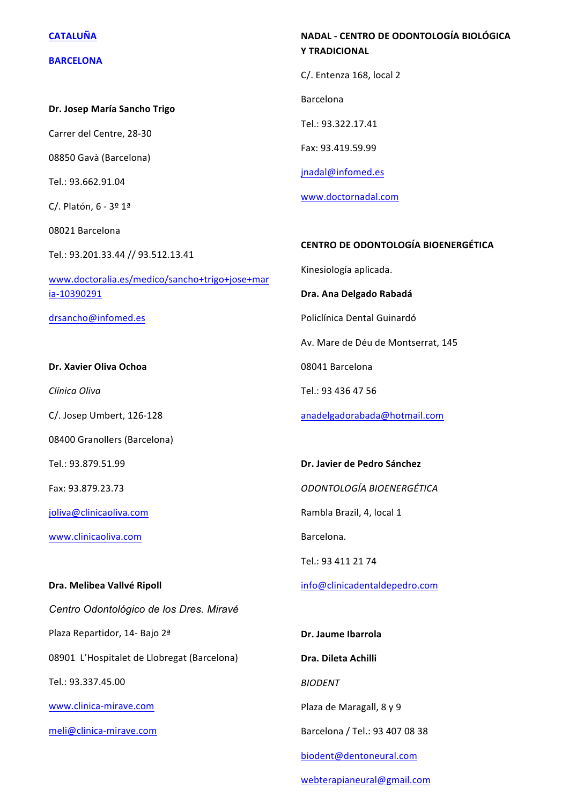#### **CATALUÑA**

#### **BARCELONA**

**Dr. Josep María Sancho Trigo**

Carrer del Centre, 28-30

08850 Gavà (Barcelona) 

Tel.: 93.662.91.04 

C/. Platón, 6 - 3º 1ª

08021 Barcelona 

Tel.: 93.201.33.44 // 93.512.13.41

www.doctoralia.es/medico/sancho+trigo+jose+mar ia-10390291

drsancho@infomed.es

#### **Dr. Xavier Oliva Ochoa**

*Clínica Oliva*

C/. Josep Umbert, 126-128

08400 Granollers (Barcelona)

Tel.: 93.879.51.99

Fax: 93.879.23.73

joliva@clinicaoliva.com

www.clinicaoliva.com

#### **Dra. Melibea Vallvé Ripoll**

*Centro Odontológico de los Dres. Miravé* Plaza Repartidor, 14- Bajo 2ª 08901 L'Hospitalet de Llobregat (Barcelona) Tel.: 93.337.45.00 www.clinica-mirave.com

meli@clinica-mirave.com

## **NADAL - CENTRO DE ODONTOLOGÍA BIOLÓGICA Y TRADICIONAL**

C/. Entenza 168, local 2

Barcelona

Tel.: 93.322.17.41

Fax: 93.419.59.99

jnadal@infomed.es

www.doctornadal.com

#### **CENTRO DE ODONTOLOGÍA BIOENERGÉTICA**

Kinesiología aplicada.

**Dra. Ana Delgado Rabadá**

Policlínica Dental Guinardó

Av. Mare de Déu de Montserrat, 145

08041 Barcelona

Tel.: 93 436 47 56

anadelgadorabada@hotmail.com

**Dr. Javier de Pedro Sánchez** *ODONTOLOGÍA BIOENERGÉTICA* Rambla Brazil, 4, local 1 Barcelona.

Tel.: 93 411 21 74

info@clinicadentaldepedro.com

**Dr. Jaume Ibarrola Dra. Dileta Achilli** *BIODENT* Plaza de Maragall, 8 y 9 Barcelona / Tel.: 93 407 08 38 biodent@dentoneural.com webterapianeural@gmail.com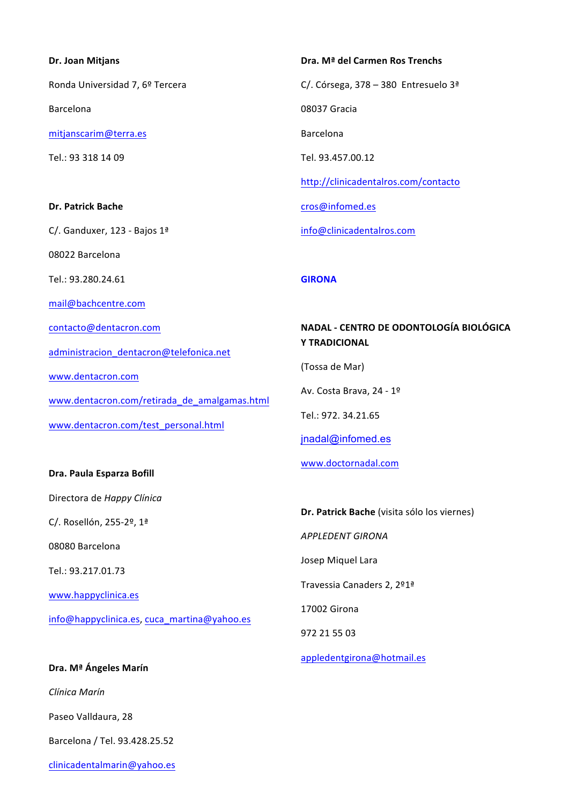# **Dr. Joan Mitjans**  Ronda Universidad 7, 6º Tercera Barcelona mitjanscarim@terra.es Tel.: 93 318 14 09 **Dr. Patrick Bache** C/. Ganduxer, 123 - Bajos 1ª 08022 Barcelona Tel.: 93.280.24.61 mail@bachcentre.com contacto@dentacron.com administracion\_dentacron@telefonica.net www.dentacron.com www.dentacron.com/retirada\_de\_amalgamas.html www.dentacron.com/test\_personal.html

Dra. Paula Esparza Bofill

Directora de *Happy Clínica*

C/. Rosellón, 255-2º, 1ª

08080 Barcelona

Tel.: 93.217.01.73

www.happyclinica.es 

info@happyclinica.es, cuca\_martina@yahoo.es

**Dra. Mª Ángeles Marín** *Clínica Marín* Paseo Valldaura, 28 Barcelona / Tel. 93.428.25.52 clinicadentalmarin@yahoo.es **Dra. Mª del Carmen Ros Trenchs** C/. Córsega, 378 – 380 Entresuelo  $3<sup>a</sup>$ 08037 Gracia Barcelona Tel. 93.457.00.12 http://clinicadentalros.com/contacto cros@infomed.es info@clinicadentalros.com 

## **GIRONA**

## **NADAL - CENTRO DE ODONTOLOGÍA BIOLÓGICA Y TRADICIONAL**

(Tossa de Mar)

Av. Costa Brava, 24 - 1º

Tel.: 972. 34.21.65

jnadal@infomed.es

www.doctornadal.com

**Dr. Patrick Bache** (visita sólo los viernes)

*APPLEDENT GIRONA*

Josep Miquel Lara

Travessia Canaders 2, 2º1ª

17002 Girona

972 21 55 03

appledentgirona@hotmail.es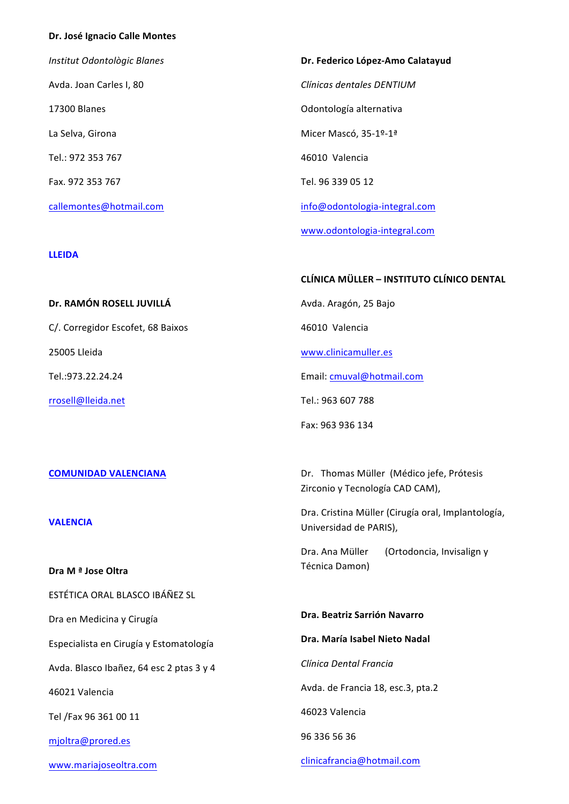#### **Dr. José Ignacio Calle Montes**

*Institut Odontològic Blanes* Avda. Joan Carles I, 80 17300 Blanes La Selva, Girona Tel.: 972 353 767 Fax. 972 353 767 callemontes@hotmail.com

#### **LLEIDA**

25005 Lleida 

Tel.:973.22.24.24

rrosell@lleida.net

# **Dr. Federico López-Amo Calatayud** *Clínicas dentales DENTIUM* Odontología alternativa Micer Mascó, 35-1º-1ª 46010 Valencia Tel. 96 339 05 12 info@odontologia-integral.com

www.odontologia-integral.com

### **CLÍNICA MÜLLER – INSTITUTO CLÍNICO DENTAL**

Avda. Aragón, 25 Bajo

46010 Valencia

www.clinicamuller.es

Email: cmuval@hotmail.com

Dr. Thomas Müller (Médico jefe, Prótesis

Dra. Cristina Müller (Cirugía oral, Implantología,

Zirconio y Tecnología CAD CAM),

Universidad de PARIS),

Tel.: 963 607 788

Fax: 963 936 134

#### **COMUNIDAD VALENCIANA**

**Dr. RAMÓN ROSELL JUVILLÁ**

C/. Corregidor Escofet, 68 Baixos

**VALENCIA**

**Dra M ª Jose Oltra** ESTÉTICA ORAL BLASCO IBÁÑEZ SL Dra en Medicina y Cirugía Especialista en Cirugía y Estomatología Avda. Blasco Ibañez, 64 esc 2 ptas 3 y 4 46021 Valencia Tel /Fax 96 361 00 11 mjoltra@prored.es www.mariajoseoltra.com Dra. Ana Müller (Ortodoncia, Invisalign y Técnica Damon) **Dra. Beatriz Sarrión Navarro** Dra. María Isabel Nieto Nadal *Clínica Dental Francia* Avda. de Francia 18, esc.3, pta.2 46023 Valencia 96 336 56 36 clinicafrancia@hotmail.com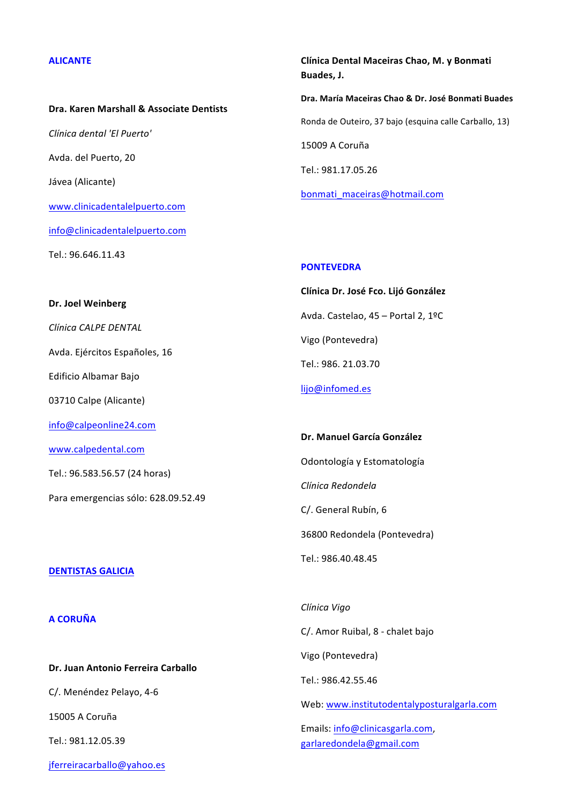#### **ALICANTE**

**Dra. Karen Marshall & Associate Dentists** *Clínica dental 'El Puerto'* Avda. del Puerto, 20 Jávea (Alicante) www.clinicadentalelpuerto.com info@clinicadentalelpuerto.com Tel.: 96.646.11.43

**Clínica Dental Maceiras Chao, M. y Bonmati Buades, J. Dra. María Maceiras Chao & Dr. José Bonmati Buades** Ronda de Outeiro, 37 bajo (esquina calle Carballo, 13) 15009 A Coruña Tel.: 981.17.05.26 bonmati\_maceiras@hotmail.com

#### **PONTEVEDRA**

**Clínica Dr. José Fco. Lijó González**  Avda. Castelao, 45 - Portal 2, 1ºC Vigo (Pontevedra) Tel.: 986. 21.03.70 lijo@infomed.es

**Dr. Manuel García González** Odontología y Estomatología *Clínica Redondela* C/. General Rubín, 6 36800 Redondela (Pontevedra)

Tel.: 986.40.48.45

#### **DENTISTAS GALICIA**

**Dr. Joel Weinberg**

*Clínica CALPE DENTAL*

Edificio Albamar Bajo

03710 Calpe (Alicante)

info@calpeonline24.com

Tel.: 96.583.56.57 (24 horas)

Para emergencias sólo: 628.09.52.49

www.calpedental.com

Avda. Ejércitos Españoles, 16

#### **A CORUÑA**

**Dr. Juan Antonio Ferreira Carballo**

C/. Menéndez Pelayo, 4-6

15005 A Coruña

Tel.: 981.12.05.39

jferreiracarballo@yahoo.es

*Clínica Vigo* C/. Amor Ruibal, 8 - chalet bajo Vigo (Pontevedra) Tel.: 986.42.55.46 Web: www.institutodentalyposturalgarla.com Emails: info@clinicasgarla.com, garlaredondela@gmail.com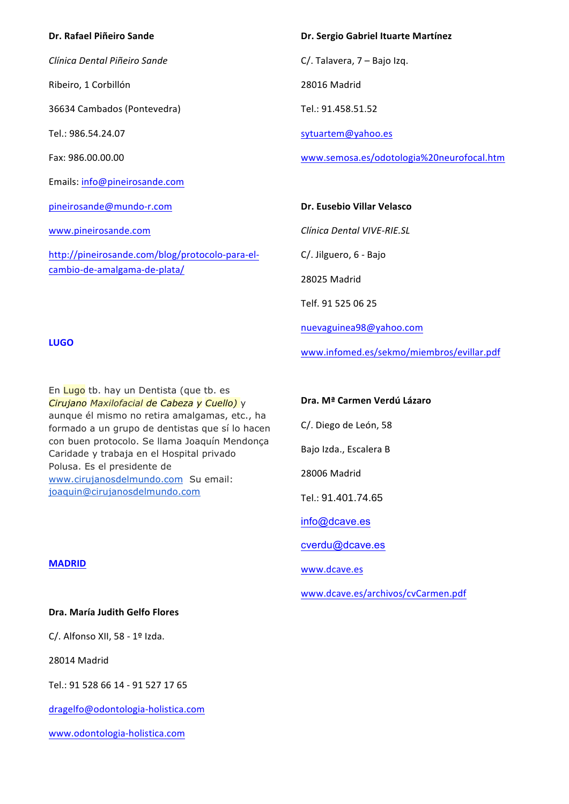## **Dr. Rafael Piñeiro Sande**

*Clínica Dental Piñeiro Sande*

Ribeiro, 1 Corbillón

36634 Cambados (Pontevedra)

Tel.: 986.54.24.07

Fax: 986.00.00.00

Emails: info@pineirosande.com

pineirosande@mundo-r.com

www.pineirosande.com

http://pineirosande.com/blog/protocolo-para-elcambio-de-amalgama-de-plata/

**Dr. Sergio Gabriel Ituarte Martínez** 

 $C/$ . Talavera,  $7 -$  Bajo Izq.

28016 Madrid

Tel.: 91.458.51.52

sytuartem@yahoo.es

www.semosa.es/odotologia%20neurofocal.htm

#### **Dr. Eusebio Villar Velasco**

*Clínica Dental VIVE-RIE.SL*

C/. Jilguero, 6 - Bajo

28025 Madrid

Telf. 91 525 06 25

nuevaguinea98@yahoo.com

www.infomed.es/sekmo/miembros/evillar.pdf

#### **LUGO**

En Lugo tb. hay un Dentista (que tb. es *Cirujano Maxilofacial de Cabeza y Cuello)* y aunque él mismo no retira amalgamas, etc., ha formado a un grupo de dentistas que sí lo hacen con buen protocolo. Se llama Joaquín Mendonça Caridade y trabaja en el Hospital privado Polusa. Es el presidente de www.cirujanosdelmundo.com Su email: joaquin@cirujanosdelmundo.com

# **Dra. Mª Carmen Verdú Lázaro**

C/. Diego de León, 58

Bajo Izda., Escalera B

28006 Madrid

Tel.: 91.401.74.65

info@dcave.es

cverdu@dcave.es

www.dcave.es

www.dcave.es/archivos/cvCarmen.pdf

## **Dra. María Judith Gelfo Flores**

C/. Alfonso XII,  $58 - 19$  Izda.

28014 Madrid

**MADRID**

Tel.: 91 528 66 14 - 91 527 17 65

dragelfo@odontologia-holistica.com

www.odontologia-holistica.com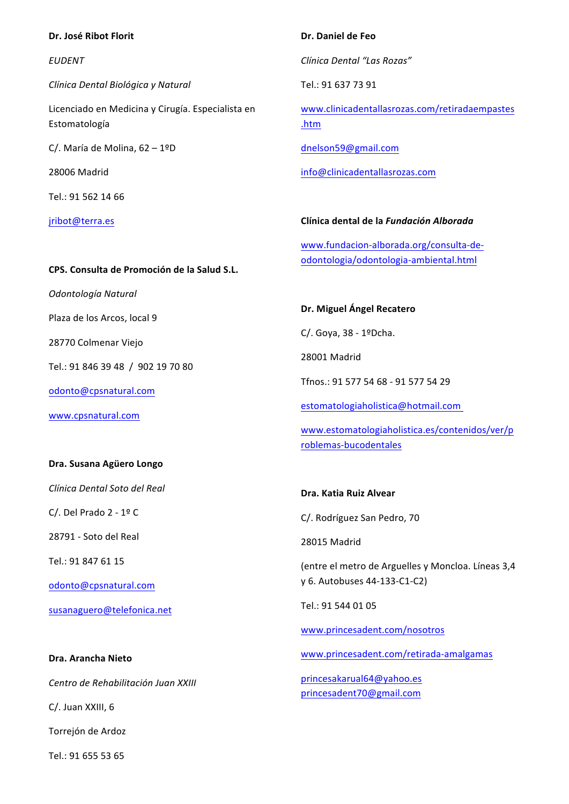## **Dr. José Ribot Florit**

*EUDENT*

*Clínica Dental Biológica y Natural*

Licenciado en Medicina y Cirugía. Especialista en Estomatología

C/. María de Molina,  $62 - 1$ ºD

28006 Madrid 

 $Tel \cdot 915621466$ 

jribot@terra.es

#### **Dr. Daniel de Feo**

*Clínica Dental "Las Rozas"*

Tel.: 91 637 73 91

www.clinicadentallasrozas.com/retiradaempastes .htm

dnelson59@gmail.com

info@clinicadentallasrozas.com

## **Clínica dental de la** *Fundación Alborada*

www.fundacion-alborada.org/consulta-deodontologia/odontologia-ambiental.html

## **CPS. Consulta de Promoción de la Salud S.L.**

*Odontología Natural*

Plaza de los Arcos, local 9

28770 Colmenar Viejo

Tel.: 91 846 39 48 / 902 19 70 80

odonto@cpsnatural.com

www.cpsnatural.com

### **Dra. Susana Agüero Longo**

*Clínica Dental Soto del Real*

C/. Del Prado  $2 - 19$  C

28791 - Soto del Real

Tel.: 91 847 61 15

odonto@cpsnatural.com

susanaguero@telefonica.net

**Dra. Arancha Nieto** *Centro de Rehabilitación Juan XXIII* C/. Juan XXIII, 6 Torrejón de Ardoz

Tel.: 91 655 53 65

#### **Dr. Miguel Ángel Recatero**

C/. Goya, 38 - 1ºDcha.

28001 Madrid

Tfnos.: 91 577 54 68 - 91 577 54 29

estomatologiaholistica@hotmail.com

www.estomatologiaholistica.es/contenidos/ver/p roblemas-bucodentales

## **Dra. Katia Ruiz Alvear**

C/. Rodríguez San Pedro, 70

28015 Madrid

(entre el metro de Arguelles y Moncloa. Líneas 3,4 y 6. Autobuses 44-133-C1-C2)

Tel.: 91 544 01 05

www.princesadent.com/nosotros

www.princesadent.com/retirada-amalgamas

princesakarual64@yahoo.es princesadent70@gmail.com